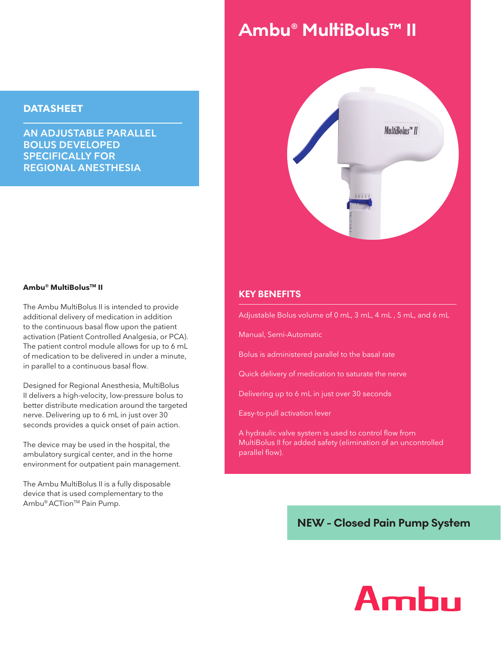#### **DATASHEET**

**AN ADJUSTABLE PARALLEL BOLUS DEVELOPED SPECIFICALLY FOR REGIONAL ANESTHESIA**

# Ambu® MultiBolus™ II



#### **Ambu® MultiBolusTM II**

The Ambu MultiBolus II is intended to provide additional delivery of medication in addition to the continuous basal flow upon the patient activation (Patient Controlled Analgesia, or PCA). The patient control module allows for up to 6 mL of medication to be delivered in under a minute, in parallel to a continuous basal flow.

Designed for Regional Anesthesia, MultiBolus II delivers a high-velocity, low-pressure bolus to better distribute medication around the targeted nerve. Delivering up to 6 mL in just over 30 seconds provides a quick onset of pain action.

The device may be used in the hospital, the ambulatory surgical center, and in the home environment for outpatient pain management.

The Ambu MultiBolus II is a fully disposable device that is used complementary to the Ambu<sup>®</sup> ACTion<sup>™</sup> Pain Pump.

#### **KEY BENEFITS**

Adjustable Bolus volume of 0 mL, 3 mL, 4 mL , 5 mL, and 6 mL

Manual, Semi-Automatic

Bolus is administered parallel to the basal rate

Quick delivery of medication to saturate the nerve

Delivering up to 6 mL in just over 30 seconds

Easy-to-pull activation lever

A hydraulic valve system is used to control flow from MultiBolus II for added safety (elimination of an uncontrolled parallel flow).

### **NEW - Closed Pain Pump System**

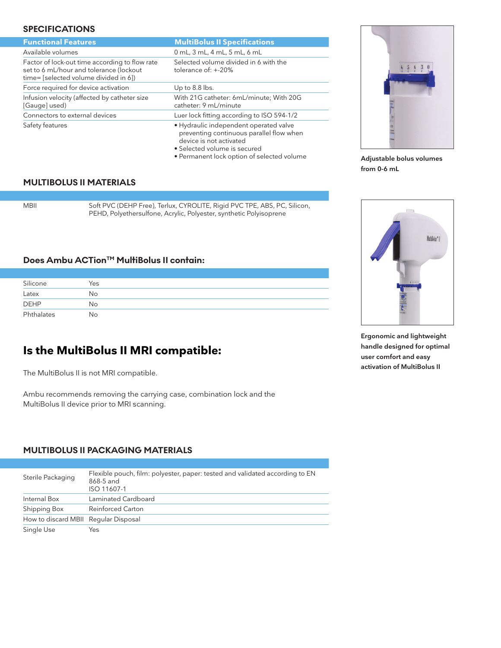#### **SPECIFICATIONS**

| <b>Functional Features</b>                                                                                                         | <b>MultiBolus II Specifications</b>                                                                                                                                                         |
|------------------------------------------------------------------------------------------------------------------------------------|---------------------------------------------------------------------------------------------------------------------------------------------------------------------------------------------|
| Available volumes                                                                                                                  | 0 mL, 3 mL, 4 mL, 5 mL, 6 mL                                                                                                                                                                |
| Factor of lock-out time according to flow rate<br>set to 6 mL/hour and tolerance (lockout<br>time= [selected volume divided in 6]) | Selected volume divided in 6 with the<br>tolerance of: $+20%$                                                                                                                               |
| Force required for device activation                                                                                               | Up to 8.8 lbs.                                                                                                                                                                              |
| Infusion velocity (affected by catheter size<br>[Gauge] used)                                                                      | With 21G catheter: 6mL/minute; With 20G<br>catheter: 9 mL/minute                                                                                                                            |
| Connectors to external devices                                                                                                     | Luer lock fitting according to ISO 594-1/2                                                                                                                                                  |
| Safety features                                                                                                                    | • Hydraulic independent operated valve<br>preventing continuous parallel flow when<br>device is not activated<br>• Selected volume is secured<br>• Permanent lock option of selected volume |

#### **MULTIBOLUS II MATERIALS**

MBII Soft PVC (DEHP Free), Terlux, CYROLITE, Rigid PVC TPE, ABS, PC, Silicon, PEHD, Polyethersulfone, Acrylic, Polyester, synthetic Polyisoprene

#### **Does Ambu ACTion™ MultiBolus II contain:**

| Silicone    | Yes |
|-------------|-----|
| Latex       | No  |
| <b>DEHP</b> | No  |
| Phthalates  | No  |

# **Is the MultiBolus II MRI compatible:**

The MultiBolus II is not MRI compatible.

Ambu recommends removing the carrying case, combination lock and the MultiBolus II device prior to MRI scanning.

#### **MULTIBOLUS II PACKAGING MATERIALS**

| Sterile Packaging                    | Flexible pouch, film: polyester, paper: tested and validated according to EN<br>868-5 and<br>ISO 11607-1 |
|--------------------------------------|----------------------------------------------------------------------------------------------------------|
| Internal Box                         | Laminated Cardboard                                                                                      |
| Shipping Box                         | Reinforced Carton                                                                                        |
| How to discard MBII Regular Disposal |                                                                                                          |
| Single Use                           | Yes                                                                                                      |



**Adjustable bolus volumes from 0-6 mL**



**Ergonomic and lightweight handle designed for optimal user comfort and easy activation of MultiBolus II**